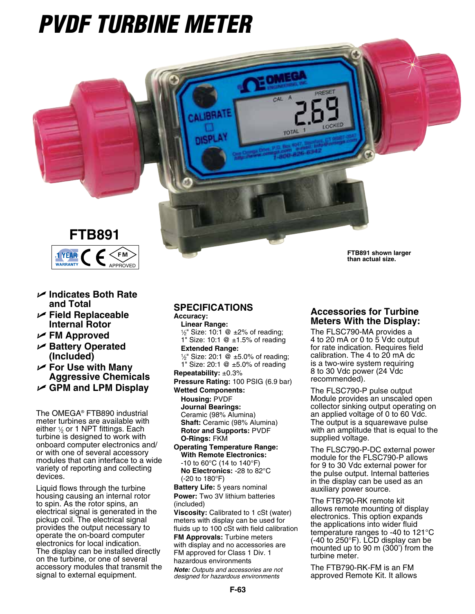# *PVDF Turbine Meter*



- U **Indicates Both Rate and Total**
- U **Field Replaceable Internal Rotor**
- U **FM Approved**
- U **Battery Operated (Included)**
- U **For Use with Many Aggressive Chemicals**
- U **GPM and LPM Display**

The OMEGA® FTB890 industrial meter turbines are available with either  $\frac{1}{2}$  or 1 NPT fittings. Each turbine is designed to work with onboard computer electronics and/ or with one of several accessory modules that can interface to a wide variety of reporting and collecting devices.

Liquid flows through the turbine housing causing an internal rotor to spin. As the rotor spins, an electrical signal is generated in the pickup coil. The electrical signal provides the output necessary to operate the on-board computer electronics for local indication. The display can be installed directly on the turbine, or one of several accessory modules that transmit the signal to external equipment.

## **Specifications**

**Accuracy:** 

**Linear Range:**  $1/2$ " Size: 10:1 @  $\pm$ 2% of reading; 1" Size: 10:1 @ ±1.5% of reading **Extended Range:**

CAL

**RTOT** 

 $\frac{1}{2}$ " Size: 20:1 @ ±5.0% of reading; 1" Size: 20:1 @ ±5.0% of reading **Repeatability:** ±0.3%

**Pressure Rating:** 100 PSIG (6.9 bar) **Wetted Components:**

**Housing:** PVDF

**Journal Bearings:**  Ceramic (98% Alumina) **Shaft:** Ceramic (98% Alumina)

**Rotor and Supports:** PVDF **O-Rings:** FKM

**Operating Temperature Range: With Remote Electronics:** -10 to 60°C (14 to 140°F)  **No Electronics:** -28 to 82°C (-20 to 180°F)

**Battery Life:** 5 years nominal **Power:** Two 3V lithium batteries (included)

**Viscosity:** Calibrated to 1 cSt (water) meters with display can be used for fluids up to 100 cSt with field calibration **FM Approvals:** Turbine meters with display and no accessories are FM approved for Class 1 Div. 1 hazardous environments

*Note: Outputs and accessories are not designed for hazardous environments*

# **Accessories for Turbine Meters With the Display:**

**FTB891 shown larger than actual size.**

The FLSC790-MA provides a 4 to 20 mA or 0 to 5 Vdc output for rate indication. Requires field calibration. The 4 to 20 mA dc is a two-wire system requiring 8 to 30 Vdc power (24 Vdc recommended).

The FLSC790-P pulse output Module provides an unscaled open collector sinking output operating on an applied voltage of 0 to 60 Vdc. The output is a squarewave pulse with an amplitude that is equal to the supplied voltage.

The FLSC790-P-DC external power module for the FLSC790-P allows for 9 to 30 Vdc external power for the pulse output. Internal batteries in the display can be used as an auxiliary power source.

The FTB790-RK remote kit allows remote mounting of display electronics. This option expands the applications into wider fluid temperature ranges to -40 to 121°C (-40 to 250°F). LCD display can be mounted up to 90 m (300') from the turbine meter.

The FTB790-RK-FM is an FM approved Remote Kit. It allows